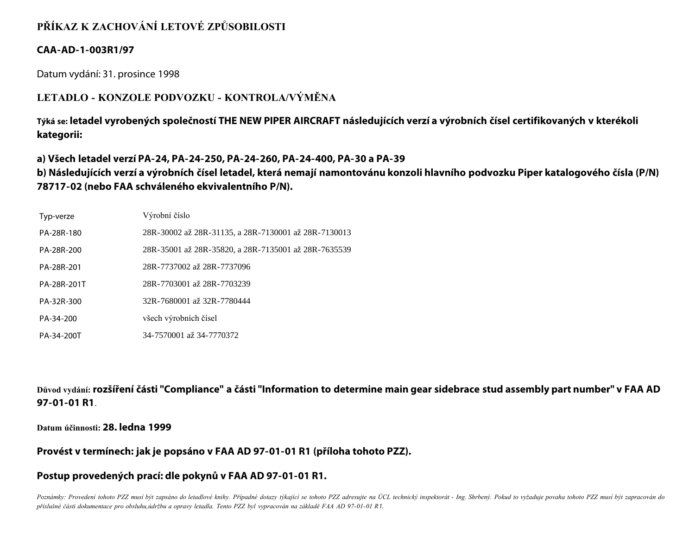# **PŘÍKAZ K ZACHOVÁNÍ LETOVÉ ZPŮSOBILOSTI**

## **CAA-AD-1-003R1/97**

Datum vydání: 31. prosince 1998

## **LETADLO - KONZOLE PODVOZKU - KONTROLA/VÝMĚNA**

**Týká se: letadel vyrobených společností THE NEW PIPER AIRCRAFT následujících verzí a výrobních čísel certifikovaných v kterékoli kategorii:**

#### **a) Všech letadel verzí PA-24, PA-24-250, PA-24-260, PA-24-400, PA-30 a PA-39**

**b) Následujících verzí a výrobních čísel letadel, která nemají namontovánu konzoli hlavního podvozku Piper katalogového čísla (P/N) 78717-02 (nebo FAA schváleného ekvivalentního P/N).**

| Typ-verze   | Výrobní číslo                                        |
|-------------|------------------------------------------------------|
| PA-28R-180  | 28R-30002 až 28R-31135, a 28R-7130001 až 28R-7130013 |
| PA-28R-200  | 28R-35001 až 28R-35820, a 28R-7135001 až 28R-7635539 |
| PA-28R-201  | 28R-7737002 až 28R-7737096                           |
| PA-28R-201T | 28R-7703001 až 28R-7703239                           |
| PA-32R-300  | 32R-7680001 až 32R-7780444                           |
| PA-34-200   | všech výrobních čísel                                |
| PA-34-200T  | 34-7570001 až 34-7770372                             |

**Důvod vydání: rozšíření části "Compliance" a části "Information to determine main gear sidebrace stud assembly part number" v FAA AD 97-01-01 R1**.

**Datum účinnosti: 28. ledna 1999**

#### **Provést v termínech: jak je popsáno v FAA AD 97-01-01 R1 (příloha tohoto PZZ).**

## **Postup provedených prací: dle pokynů v FAA AD 97-01-01 R1.**

Poznámky: Provedení tohoto PZZ musí být zapsáno do letadlové knihy. Případné dotazy týkající se tohoto PZZ adresujte na ÚCL technický inspektorát - Ing. Shrbený. Pokud to vyžaduje povaha tohoto PZZ musí být zapracován do *příslušné části dokumentace pro obsluhu,údržbu a opravy letadla. Tento PZZ byl vypracován na základě FAA AD 97-01-01 R1.*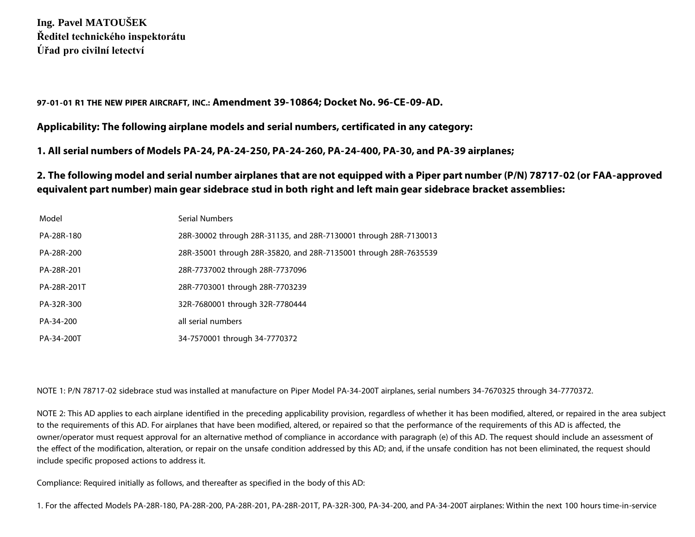**Ing. Pavel MATOUŠEK Ředitel technického inspektorátu Úřad pro civilní letectví**

**97-01-01 R1 THE NEW PIPER AIRCRAFT, INC.: Amendment 39-10864; Docket No. 96-CE-09-AD.**

**Applicability: The following airplane models and serial numbers, certificated in any category:**

**1. All serial numbers of Models PA-24, PA-24-250, PA-24-260, PA-24-400, PA-30, and PA-39 airplanes;**

**2. The following model and serial number airplanes that are not equipped with a Piper part number (P/N) 78717-02 (or FAA-approved equivalent part number) main gear sidebrace stud in both right and left main gear sidebrace bracket assemblies:**

| Model       | Serial Numbers                                                   |
|-------------|------------------------------------------------------------------|
| PA-28R-180  | 28R-30002 through 28R-31135, and 28R-7130001 through 28R-7130013 |
| PA-28R-200  | 28R-35001 through 28R-35820, and 28R-7135001 through 28R-7635539 |
| PA-28R-201  | 28R-7737002 through 28R-7737096                                  |
| PA-28R-201T | 28R-7703001 through 28R-7703239                                  |
| PA-32R-300  | 32R-7680001 through 32R-7780444                                  |
| PA-34-200   | all serial numbers                                               |
| PA-34-200T  | 34-7570001 through 34-7770372                                    |

NOTE 1: P/N 78717-02 sidebrace stud was installed at manufacture on Piper Model PA-34-200T airplanes, serial numbers 34-7670325 through 34-7770372.

NOTE 2: This AD applies to each airplane identified in the preceding applicability provision, regardless of whether it has been modified, altered, or repaired in the area subject to the requirements of this AD. For airplanes that have been modified, altered, or repaired so that the performance of the requirements of this AD is affected, the owner/operator must request approval for an alternative method of compliance in accordance with paragraph (e) of this AD. The request should include an assessment of the effect of the modification, alteration, or repair on the unsafe condition addressed by this AD; and, if the unsafe condition has not been eliminated, the request should include specific proposed actions to address it.

Compliance: Required initially as follows, and thereafter as specified in the body of this AD:

1. For the affected Models PA-28R-180, PA-28R-200, PA-28R-201, PA-28R-201T, PA-32R-300, PA-34-200, and PA-34-200T airplanes: Within the next 100 hours time-in-service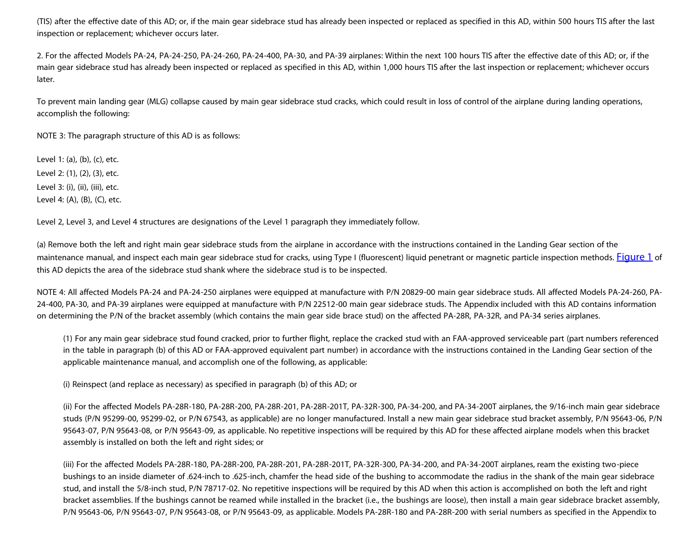(TIS) after the effective date of this AD; or, if the main gear sidebrace stud has already been inspected or replaced as specified in this AD, within 500 hours TIS after the last inspection or replacement; whichever occurs later.

2. For the affected Models PA-24, PA-24-250, PA-24-260, PA-24-400, PA-30, and PA-39 airplanes: Within the next 100 hours TIS after the effective date of this AD; or, if the main gear sidebrace stud has already been inspected or replaced as specified in this AD, within 1,000 hours TIS after the last inspection or replacement; whichever occurs later.

To prevent main landing gear (MLG) collapse caused by main gear sidebrace stud cracks, which could result in loss of control of the airplane during landing operations, accomplish the following:

NOTE 3: The paragraph structure of this AD is as follows:

Level 1: (a), (b), (c), etc. Level 2: (1), (2), (3), etc. Level 3: (i), (ii), (iii), etc. Level 4: (A), (B), (C), etc.

Level 2, Level 3, and Level 4 structures are designations of the Level 1 paragraph they immediately follow.

(a) Remove both the left and right main gear sidebrace studs from the airplane in accordance with the instructions contained in the Landing Gear section of the maintenance manual, and inspect each main gear sidebrace stud for cracks, using Type I (fluorescent) liquid penetrant or magnetic particle inspection methods. [Figure 1](http://neklan.caa.cz/ucl-old/ti/ad/1998/img/image89.gif) of this AD depicts the area of the sidebrace stud shank where the sidebrace stud is to be inspected.

NOTE 4: All affected Models PA-24 and PA-24-250 airplanes were equipped at manufacture with P/N 20829-00 main gear sidebrace studs. All affected Models PA-24-260, PA-24-400, PA-30, and PA-39 airplanes were equipped at manufacture with P/N 22512-00 main gear sidebrace studs. The Appendix included with this AD contains information on determining the P/N of the bracket assembly (which contains the main gear side brace stud) on the affected PA-28R, PA-32R, and PA-34 series airplanes.

(1) For any main gear sidebrace stud found cracked, prior to further flight, replace the cracked stud with an FAA-approved serviceable part (part numbers referenced in the table in paragraph (b) of this AD or FAA-approved equivalent part number) in accordance with the instructions contained in the Landing Gear section of the applicable maintenance manual, and accomplish one of the following, as applicable:

(i) Reinspect (and replace as necessary) as specified in paragraph (b) of this AD; or

(ii) For the affected Models PA-28R-180, PA-28R-200, PA-28R-201, PA-28R-201T, PA-32R-300, PA-34-200, and PA-34-200T airplanes, the 9/16-inch main gear sidebrace studs (P/N 95299-00, 95299-02, or P/N 67543, as applicable) are no longer manufactured. Install a new main gear sidebrace stud bracket assembly, P/N 95643-06, P/N 95643-07, P/N 95643-08, or P/N 95643-09, as applicable. No repetitive inspections will be required by this AD for these affected airplane models when this bracket assembly is installed on both the left and right sides; or

(iii) For the affected Models PA-28R-180, PA-28R-200, PA-28R-201, PA-28R-201T, PA-32R-300, PA-34-200, and PA-34-200T airplanes, ream the existing two-piece bushings to an inside diameter of .624-inch to .625-inch, chamfer the head side of the bushing to accommodate the radius in the shank of the main gear sidebrace stud, and install the 5/8-inch stud, P/N 78717-02. No repetitive inspections will be required by this AD when this action is accomplished on both the left and right bracket assemblies. If the bushings cannot be reamed while installed in the bracket (i.e., the bushings are loose), then install a main gear sidebrace bracket assembly, P/N 95643-06, P/N 95643-07, P/N 95643-08, or P/N 95643-09, as applicable. Models PA-28R-180 and PA-28R-200 with serial numbers as specified in the Appendix to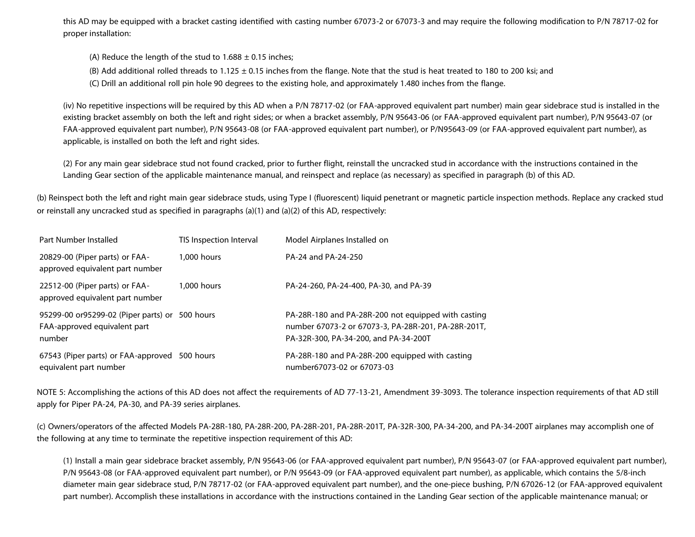this AD may be equipped with a bracket casting identified with casting number 67073-2 or 67073-3 and may require the following modification to P/N 78717-02 for proper installation:

(A) Reduce the length of the stud to  $1.688 \pm 0.15$  inches;

(B) Add additional rolled threads to  $1.125 \pm 0.15$  inches from the flange. Note that the stud is heat treated to 180 to 200 ksi; and

(C) Drill an additional roll pin hole 90 degrees to the existing hole, and approximately 1.480 inches from the flange.

(iv) No repetitive inspections will be required by this AD when a P/N 78717-02 (or FAA-approved equivalent part number) main gear sidebrace stud is installed in the existing bracket assembly on both the left and right sides; or when a bracket assembly, P/N 95643-06 (or FAA-approved equivalent part number), P/N 95643-07 (or FAA-approved equivalent part number), P/N 95643-08 (or FAA-approved equivalent part number), or P/N95643-09 (or FAA-approved equivalent part number), as applicable, is installed on both the left and right sides.

(2) For any main gear sidebrace stud not found cracked, prior to further flight, reinstall the uncracked stud in accordance with the instructions contained in the Landing Gear section of the applicable maintenance manual, and reinspect and replace (as necessary) as specified in paragraph (b) of this AD.

(b) Reinspect both the left and right main gear sidebrace studs, using Type I (fluorescent) liquid penetrant or magnetic particle inspection methods. Replace any cracked stud or reinstall any uncracked stud as specified in paragraphs (a)(1) and (a)(2) of this AD, respectively:

| Part Number Installed                                                                    | TIS Inspection Interval | Model Airplanes Installed on                                                                                                                        |
|------------------------------------------------------------------------------------------|-------------------------|-----------------------------------------------------------------------------------------------------------------------------------------------------|
| 20829-00 (Piper parts) or FAA-<br>approved equivalent part number                        | 1,000 hours             | PA-24 and PA-24-250                                                                                                                                 |
| 22512-00 (Piper parts) or FAA-<br>approved equivalent part number                        | 1,000 hours             | PA-24-260, PA-24-400, PA-30, and PA-39                                                                                                              |
| 95299-00 or95299-02 (Piper parts) or 500 hours<br>FAA-approved equivalent part<br>number |                         | PA-28R-180 and PA-28R-200 not equipped with casting<br>number 67073-2 or 67073-3, PA-28R-201, PA-28R-201T,<br>PA-32R-300, PA-34-200, and PA-34-200T |
| 67543 (Piper parts) or FAA-approved 500 hours<br>equivalent part number                  |                         | PA-28R-180 and PA-28R-200 equipped with casting<br>number67073-02 or 67073-03                                                                       |

NOTE 5: Accomplishing the actions of this AD does not affect the requirements of AD 77-13-21, Amendment 39-3093. The tolerance inspection requirements of that AD still apply for Piper PA-24, PA-30, and PA-39 series airplanes.

(c) Owners/operators of the affected Models PA-28R-180, PA-28R-200, PA-28R-201, PA-28R-201T, PA-32R-300, PA-34-200, and PA-34-200T airplanes may accomplish one of the following at any time to terminate the repetitive inspection requirement of this AD:

(1) Install a main gear sidebrace bracket assembly, P/N 95643-06 (or FAA-approved equivalent part number), P/N 95643-07 (or FAA-approved equivalent part number), P/N 95643-08 (or FAA-approved equivalent part number), or P/N 95643-09 (or FAA-approved equivalent part number), as applicable, which contains the 5/8-inch diameter main gear sidebrace stud, P/N 78717-02 (or FAA-approved equivalent part number), and the one-piece bushing, P/N 67026-12 (or FAA-approved equivalent part number). Accomplish these installations in accordance with the instructions contained in the Landing Gear section of the applicable maintenance manual; or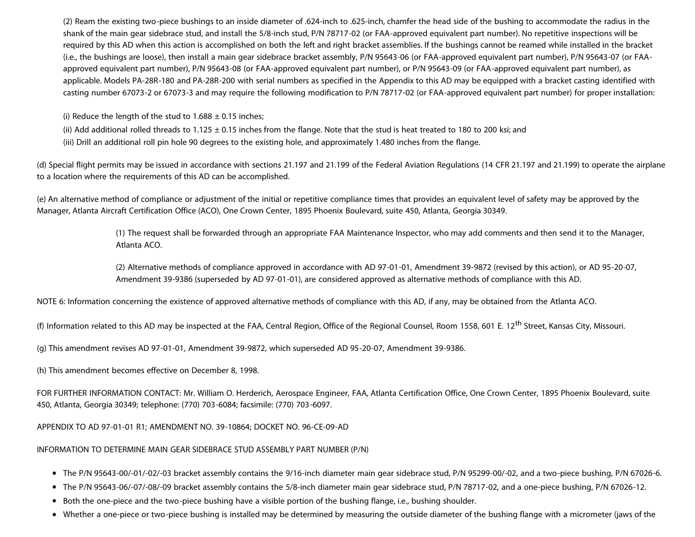(2) Ream the existing two-piece bushings to an inside diameter of .624-inch to .625-inch, chamfer the head side of the bushing to accommodate the radius in the shank of the main gear sidebrace stud, and install the 5/8-inch stud, P/N 78717-02 (or FAA-approved equivalent part number). No repetitive inspections will be required by this AD when this action is accomplished on both the left and right bracket assemblies. If the bushings cannot be reamed while installed in the bracket (i.e., the bushings are loose), then install a main gear sidebrace bracket assembly, P/N 95643-06 (or FAA-approved equivalent part number), P/N 95643-07 (or FAAapproved equivalent part number), P/N 95643-08 (or FAA-approved equivalent part number), or P/N 95643-09 (or FAA-approved equivalent part number), as applicable. Models PA-28R-180 and PA-28R-200 with serial numbers as specified in the Appendix to this AD may be equipped with a bracket casting identified with casting number 67073-2 or 67073-3 and may require the following modification to P/N 78717-02 (or FAA-approved equivalent part number) for proper installation:

(i) Reduce the length of the stud to  $1.688 \pm 0.15$  inches;

- (ii) Add additional rolled threads to  $1.125 \pm 0.15$  inches from the flange. Note that the stud is heat treated to 180 to 200 ksi; and
- (iii) Drill an additional roll pin hole 90 degrees to the existing hole, and approximately 1.480 inches from the flange.

(d) Special flight permits may be issued in accordance with sections 21.197 and 21.199 of the Federal Aviation Regulations (14 CFR 21.197 and 21.199) to operate the airplane to a location where the requirements of this AD can be accomplished.

(e) An alternative method of compliance or adjustment of the initial or repetitive compliance times that provides an equivalent level of safety may be approved by the Manager, Atlanta Aircraft Certification Office (ACO), One Crown Center, 1895 Phoenix Boulevard, suite 450, Atlanta, Georgia 30349.

> (1) The request shall be forwarded through an appropriate FAA Maintenance Inspector, who may add comments and then send it to the Manager, Atlanta ACO.

(2) Alternative methods of compliance approved in accordance with AD 97-01-01, Amendment 39-9872 (revised by this action), or AD 95-20-07, Amendment 39-9386 (superseded by AD 97-01-01), are considered approved as alternative methods of compliance with this AD.

NOTE 6: Information concerning the existence of approved alternative methods of compliance with this AD, if any, may be obtained from the Atlanta ACO.

(f) Information related to this AD may be inspected at the FAA, Central Region, Office of the Regional Counsel, Room 1558, 601 E. 12<sup>th</sup> Street, Kansas City, Missouri.

(g) This amendment revises AD 97-01-01, Amendment 39-9872, which superseded AD 95-20-07, Amendment 39-9386.

(h) This amendment becomes effective on December 8, 1998.

FOR FURTHER INFORMATION CONTACT: Mr. William O. Herderich, Aerospace Engineer, FAA, Atlanta Certification Office, One Crown Center, 1895 Phoenix Boulevard, suite 450, Atlanta, Georgia 30349; telephone: (770) 703-6084; facsimile: (770) 703-6097.

APPENDIX TO AD 97-01-01 R1; AMENDMENT NO. 39-10864; DOCKET NO. 96-CE-09-AD

INFORMATION TO DETERMINE MAIN GEAR SIDEBRACE STUD ASSEMBLY PART NUMBER (P/N)

- The P/N 95643-00/-01/-02/-03 bracket assembly contains the 9/16-inch diameter main gear sidebrace stud, P/N 95299-00/-02, and a two-piece bushing, P/N 67026-6.
- The P/N 95643-06/-07/-08/-09 bracket assembly contains the 5/8-inch diameter main gear sidebrace stud, P/N 78717-02, and a one-piece bushing, P/N 67026-12.
- Both the one-piece and the two-piece bushing have a visible portion of the bushing flange, i.e., bushing shoulder.
- Whether a one-piece or two-piece bushing is installed may be determined by measuring the outside diameter of the bushing flange with a micrometer (jaws of the